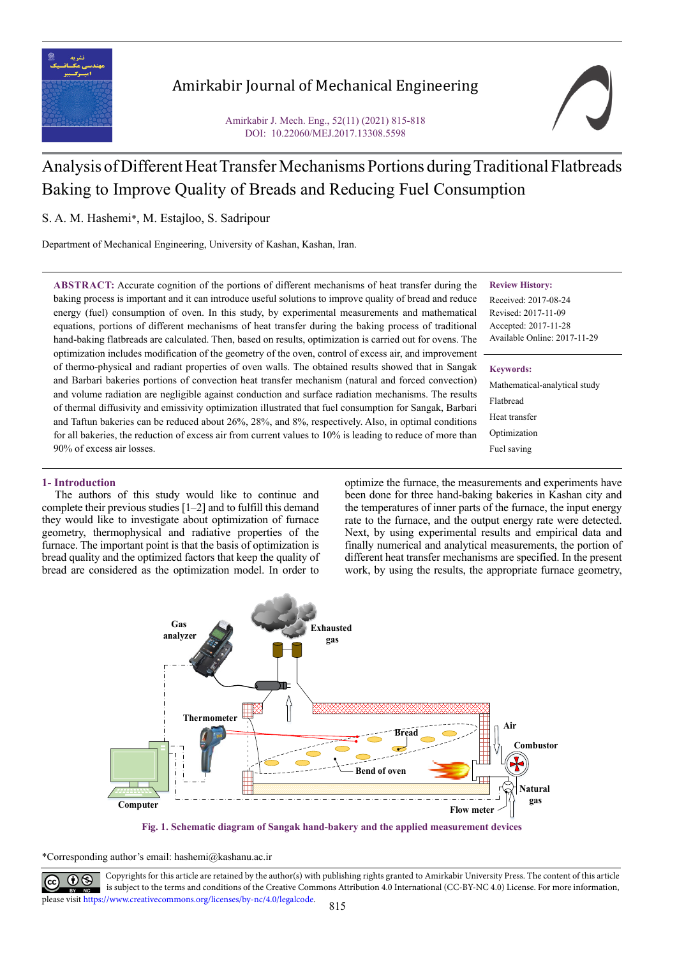

# Amirkabir Journal of Mechanical Engineering

Amirkabir J. Mech. Eng., 52(11) (2021) 815-818 DOI: 10.22060/MEJ.2017.13308.5598

# Analysis of Different Heat Transfer Mechanisms Portions during Traditional Flatbreads Baking to Improve Quality of Breads and Reducing Fuel Consumption

S. A. M. Hashemi\*, M. Estajloo, S. Sadripour

Department of Mechanical Engineering, University of Kashan, Kashan, Iran.

**ABSTRACT:** Accurate cognition of the portions of different mechanisms of heat transfer during the baking process is important and it can introduce useful solutions to improve quality of bread and reduce energy (fuel) consumption of oven. In this study, by experimental measurements and mathematical equations, portions of different mechanisms of heat transfer during the baking process of traditional hand-baking flatbreads are calculated. Then, based on results, optimization is carried out for ovens. The optimization includes modification of the geometry of the oven, control of excess air, and improvement of thermo-physical and radiant properties of oven walls. The obtained results showed that in Sangak and Barbari bakeries portions of convection heat transfer mechanism (natural and forced convection) and volume radiation are negligible against conduction and surface radiation mechanisms. The results of thermal diffusivity and emissivity optimization illustrated that fuel consumption for Sangak, Barbari and Taftun bakeries can be reduced about 26%, 28%, and 8%, respectively. Also, in optimal conditions for all bakeries, the reduction of excess air from current values to 10% is leading to reduce of more than 90% of excess air losses.

# **Review History:**

Received: 2017-08-24 Revised: 2017-11-09 Accepted: 2017-11-28 Available Online: 2017-11-29

# **Keywords:**

Mathematical-analytical study Flatbread Heat transfer Optimization Fuel saving

# **1- Introduction**

The authors of this study would like to continue and complete their previous studies [1–2] and to fulfill this demand they would like to investigate about optimization of furnace geometry, thermophysical and radiative properties of the furnace. The important point is that the basis of optimization is bread quality and the optimized factors that keep the quality of bread are considered as the optimization model. In order to

optimize the furnace, the measurements and experiments have been done for three hand-baking bakeries in Kashan city and the temperatures of inner parts of the furnace, the input energy rate to the furnace, and the output energy rate were detected. Next, by using experimental results and empirical data and finally numerical and analytical measurements, the portion of different heat transfer mechanisms are specified. In the present work, by using the results, the appropriate furnace geometry,



**Fig. 1. Schematic diagram of Sangak hand-bakery and the applied measurement devices**

\*Corresponding author's email: hashemi@kashanu.ac.ir



Copyrights for this article are retained by the author(s) with publishing rights granted to Amirkabir University Press. The content of this article<br>is unbitated to the three and see differently Continue Commons Attribution is subject to the terms and conditions of the Creative Commons Attribution 4.0 International (CC-BY-NC 4.0) License. For more information, please visit https://www.creativecommons.org/licenses/by-nc/4.0/legalcode.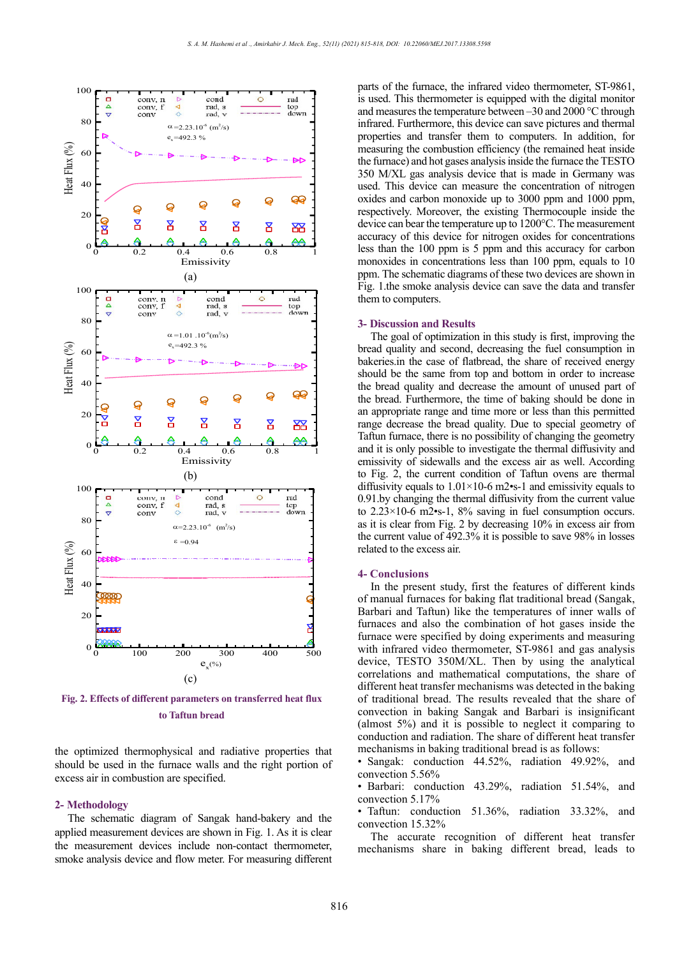

**Fig. 2. Effects of different parameters on transferred heat flux to Taftun bread**

the optimized thermophysical and radiative properties that should be used in the furnace walls and the right portion of excess air in combustion are specified.

## **2- Methodology**

The schematic diagram of Sangak hand-bakery and the applied measurement devices are shown in Fig. 1. As it is clear the measurement devices include non-contact thermometer, smoke analysis device and flow meter. For measuring different parts of the furnace, the infrared video thermometer, ST-9861, is used. This thermometer is equipped with the digital monitor and measures the temperature between  $-30$  and  $2000$  °C through infrared. Furthermore, this device can save pictures and thermal properties and transfer them to computers. In addition, for measuring the combustion efficiency (the remained heat inside the furnace) and hot gases analysis inside the furnace the TESTO 350 M/XL gas analysis device that is made in Germany was used. This device can measure the concentration of nitrogen oxides and carbon monoxide up to 3000 ppm and 1000 ppm, respectively. Moreover, the existing Thermocouple inside the device can bear the temperature up to 1200°C. The measurement accuracy of this device for nitrogen oxides for concentrations less than the 100 ppm is 5 ppm and this accuracy for carbon monoxides in concentrations less than 100 ppm, equals to 10 ppm. The schematic diagrams of these two devices are shown in Fig. 1.the smoke analysis device can save the data and transfer them to computers.

## **3- Discussion and Results**

The goal of optimization in this study is first, improving the bread quality and second, decreasing the fuel consumption in bakeries.in the case of flatbread, the share of received energy should be the same from top and bottom in order to increase the bread quality and decrease the amount of unused part of the bread. Furthermore, the time of baking should be done in an appropriate range and time more or less than this permitted range decrease the bread quality. Due to special geometry of Taftun furnace, there is no possibility of changing the geometry and it is only possible to investigate the thermal diffusivity and emissivity of sidewalls and the excess air as well. According to Fig. 2, the current condition of Taftun ovens are thermal diffusivity equals to  $1.01 \times 10^{-6}$  m2•s-1 and emissivity equals to 0.91.by changing the thermal diffusivity from the current value to 2.23×10-6 m2•s-1, 8% saving in fuel consumption occurs. as it is clear from Fig. 2 by decreasing 10% in excess air from the current value of 492.3% it is possible to save 98% in losses related to the excess air.

### **4- Conclusions**

In the present study, first the features of different kinds of manual furnaces for baking flat traditional bread (Sangak, Barbari and Taftun) like the temperatures of inner walls of furnaces and also the combination of hot gases inside the furnace were specified by doing experiments and measuring with infrared video thermometer, ST-9861 and gas analysis device, TESTO 350M/XL. Then by using the analytical correlations and mathematical computations, the share of different heat transfer mechanisms was detected in the baking of traditional bread. The results revealed that the share of convection in baking Sangak and Barbari is insignificant (almost 5%) and it is possible to neglect it comparing to conduction and radiation. The share of different heat transfer mechanisms in baking traditional bread is as follows:

• Sangak: conduction 44.52%, radiation 49.92%, and convection 5.56%

• Barbari: conduction 43.29%, radiation 51.54%, and convection 5.17%

• Taftun: conduction 51.36%, radiation 33.32%, and convection 15.32%

The accurate recognition of different heat transfer mechanisms share in baking different bread, leads to